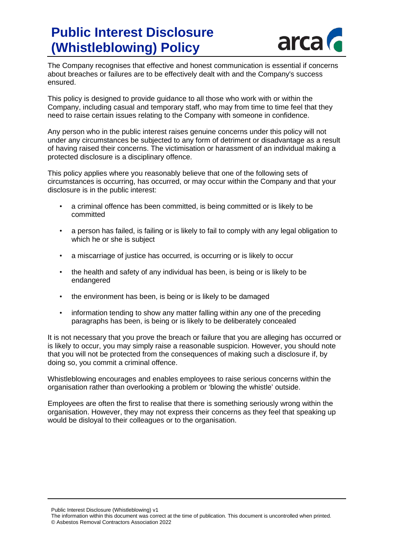## **Public Interest Disclosure (Whistleblowing) Policy**



The Company recognises that effective and honest communication is essential if concerns about breaches or failures are to be effectively dealt with and the Company's success ensured.

This policy is designed to provide guidance to all those who work with or within the Company, including casual and temporary staff, who may from time to time feel that they need to raise certain issues relating to the Company with someone in confidence.

Any person who in the public interest raises genuine concerns under this policy will not under any circumstances be subjected to any form of detriment or disadvantage as a result of having raised their concerns. The victimisation or harassment of an individual making a protected disclosure is a disciplinary offence.

This policy applies where you reasonably believe that one of the following sets of circumstances is occurring, has occurred, or may occur within the Company and that your disclosure is in the public interest:

- a criminal offence has been committed, is being committed or is likely to be committed
- a person has failed, is failing or is likely to fail to comply with any legal obligation to which he or she is subject
- a miscarriage of justice has occurred, is occurring or is likely to occur
- the health and safety of any individual has been, is being or is likely to be endangered
- the environment has been, is being or is likely to be damaged
- information tending to show any matter falling within any one of the preceding paragraphs has been, is being or is likely to be deliberately concealed

It is not necessary that you prove the breach or failure that you are alleging has occurred or is likely to occur, you may simply raise a reasonable suspicion. However, you should note that you will not be protected from the consequences of making such a disclosure if, by doing so, you commit a criminal offence.

Whistleblowing encourages and enables employees to raise serious concerns within the organisation rather than overlooking a problem or 'blowing the whistle' outside.

Employees are often the first to realise that there is something seriously wrong within the organisation. However, they may not express their concerns as they feel that speaking up would be disloyal to their colleagues or to the organisation.

Public Interest Disclosure (Whistleblowing) v1

The information within this document was correct at the time of publication. This document is uncontrolled when printed. © Asbestos Removal Contractors Association 2022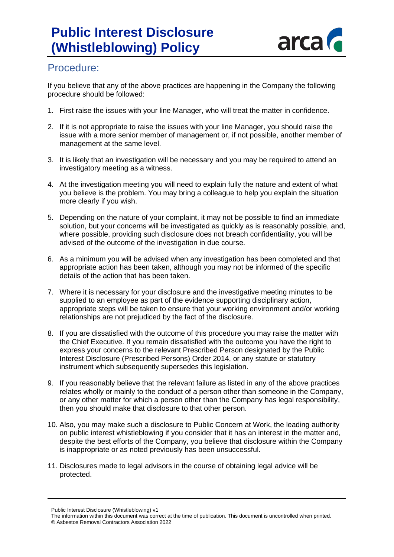

## Procedure:

If you believe that any of the above practices are happening in the Company the following procedure should be followed:

- 1. First raise the issues with your line Manager, who will treat the matter in confidence.
- 2. If it is not appropriate to raise the issues with your line Manager, you should raise the issue with a more senior member of management or, if not possible, another member of management at the same level.
- 3. It is likely that an investigation will be necessary and you may be required to attend an investigatory meeting as a witness.
- 4. At the investigation meeting you will need to explain fully the nature and extent of what you believe is the problem. You may bring a colleague to help you explain the situation more clearly if you wish.
- 5. Depending on the nature of your complaint, it may not be possible to find an immediate solution, but your concerns will be investigated as quickly as is reasonably possible, and, where possible, providing such disclosure does not breach confidentiality, you will be advised of the outcome of the investigation in due course.
- 6. As a minimum you will be advised when any investigation has been completed and that appropriate action has been taken, although you may not be informed of the specific details of the action that has been taken.
- 7. Where it is necessary for your disclosure and the investigative meeting minutes to be supplied to an employee as part of the evidence supporting disciplinary action, appropriate steps will be taken to ensure that your working environment and/or working relationships are not prejudiced by the fact of the disclosure.
- 8. If you are dissatisfied with the outcome of this procedure you may raise the matter with the Chief Executive. If you remain dissatisfied with the outcome you have the right to express your concerns to the relevant Prescribed Person designated by the Public Interest Disclosure (Prescribed Persons) Order 2014, or any statute or statutory instrument which subsequently supersedes this legislation.
- 9. If you reasonably believe that the relevant failure as listed in any of the above practices relates wholly or mainly to the conduct of a person other than someone in the Company, or any other matter for which a person other than the Company has legal responsibility, then you should make that disclosure to that other person.
- 10. Also, you may make such a disclosure to Public Concern at Work, the leading authority on public interest whistleblowing if you consider that it has an interest in the matter and, despite the best efforts of the Company, you believe that disclosure within the Company is inappropriate or as noted previously has been unsuccessful.
- 11. Disclosures made to legal advisors in the course of obtaining legal advice will be protected.

Public Interest Disclosure (Whistleblowing) v1

The information within this document was correct at the time of publication. This document is uncontrolled when printed. © Asbestos Removal Contractors Association 2022